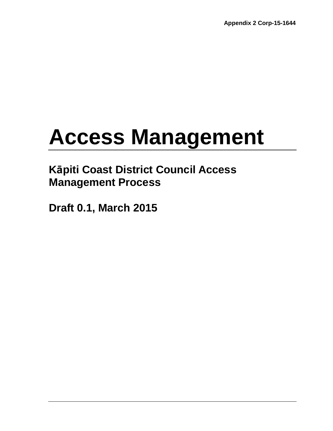# **Access Management**

# **Kāpiti Coast District Council Access Management Process**

**Draft 0.1, March 2015**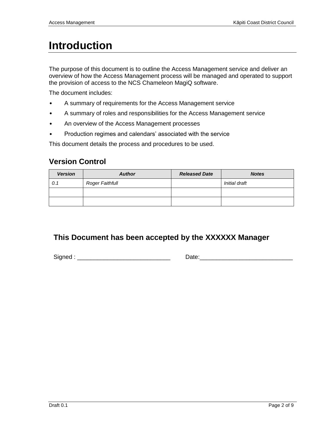# **Introduction**

The purpose of this document is to outline the Access Management service and deliver an overview of how the Access Management process will be managed and operated to support the provision of access to the NCS Chameleon MagiQ software.

The document includes:

- A summary of requirements for the Access Management service
- A summary of roles and responsibilities for the Access Management service
- An overview of the Access Management processes
- Production regimes and calendars' associated with the service

This document details the process and procedures to be used.

## **Version Control**

| <b>Version</b> | <b>Author</b>   | <b>Released Date</b> | <b>Notes</b>  |
|----------------|-----------------|----------------------|---------------|
| 0.1            | Roger Faithfull |                      | Initial draft |
|                |                 |                      |               |
|                |                 |                      |               |

## **This Document has been accepted by the XXXXXX Manager**

Signed : \_\_\_\_\_\_\_\_\_\_\_\_\_\_\_\_\_\_\_\_\_\_\_\_\_\_\_\_ Date:\_\_\_\_\_\_\_\_\_\_\_\_\_\_\_\_\_\_\_\_\_\_\_\_\_\_\_\_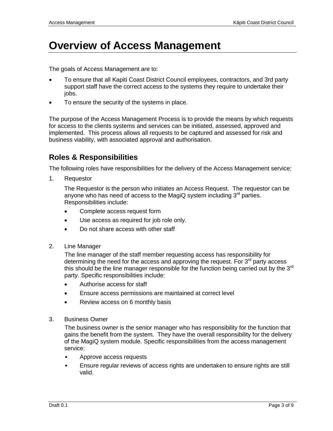## **Overview of Access Management**

The goals of Access Management are to:

- To ensure that all Kapiti Coast District Council employees, contractors, and 3rd party support staff have the correct access to the systems they require to undertake their jobs.
- To ensure the security of the systems in place.

The purpose of the Access Management Process is to provide the means by which requests for access to the clients systems and services can be initiated, assessed, approved and implemented. This process allows all requests to be captured and assessed for risk and business viability, with associated approval and authorisation.

#### **Roles & Responsibilities**

The following roles have responsibilities for the delivery of the Access Management service:

1. Requestor

The Requestor is the person who initiates an Access Request. The requestor can be anyone who has need of access to the MagiQ system including  $3<sup>rd</sup>$  parties. Responsibilities include:

- Complete access request form
- Use access as required for job role only.
- Do not share access with other staff
- 2. Line Manager

The line manager of the staff member requesting access has responsibility for determining the need for the access and approving the request. For  $3<sup>rd</sup>$  party access this should be the line manager responsible for the function being carried out by the 3<sup>rd</sup> party. Specific responsibilities include:

- Authorise access for staff
- Ensure access permissions are maintained at correct level
- Review access on 6 monthly basis
- 3. Business Owner

The business owner is the senior manager who has responsibility for the function that gains the benefit from the system. They have the overall responsibility for the delivery of the MagiQ system module. Specific responsibilities from the access management service:

- Approve access requests
- Ensure regular reviews of access rights are undertaken to ensure rights are still valid.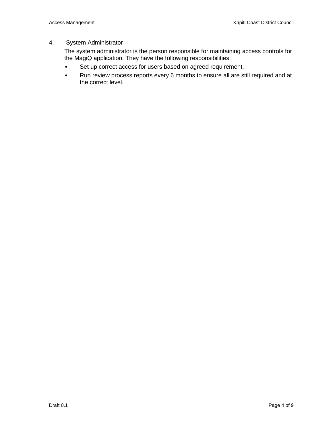#### 4. System Administrator

The system administrator is the person responsible for maintaining access controls for the MagiQ application. They have the following responsibilities:

- Set up correct access for users based on agreed requirement.
- Run review process reports every 6 months to ensure all are still required and at the correct level.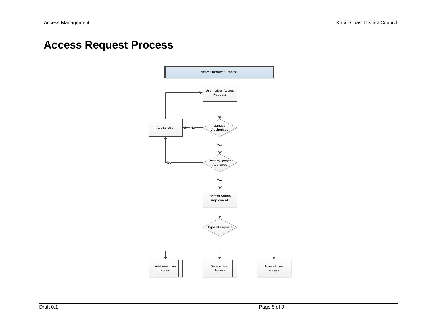# **Access Request Process**

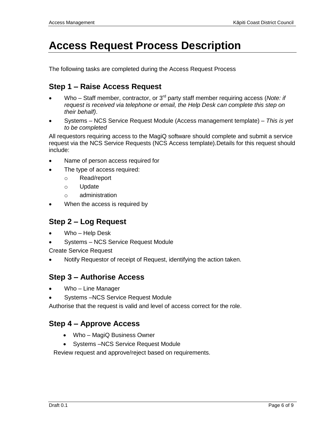# **Access Request Process Description**

The following tasks are completed during the Access Request Process

## **Step 1 – Raise Access Request**

- Who Staff member, contractor, or 3<sup>rd</sup> party staff member requiring access (*Note: if request is received via telephone or email, the Help Desk can complete this step on their behalf)*.
- Systems NCS Service Request Module (Access management template) *This is yet to be completed*

All requestors requiring access to the MagiQ software should complete and submit a service request via the NCS Service Requests (NCS Access template).Details for this request should include:

- Name of person access required for
- The type of access required:
	- o Read/report
	- o Update
	- o administration
- When the access is required by

### **Step 2 – Log Request**

- Who Help Desk
- Systems NCS Service Request Module

Create Service Request

Notify Requestor of receipt of Request, identifying the action taken.

#### **Step 3 – Authorise Access**

- Who Line Manager
- Systems –NCS Service Request Module

Authorise that the request is valid and level of access correct for the role.

### **Step 4 – Approve Access**

- Who MagiQ Business Owner
- Systems NCS Service Request Module

Review request and approve/reject based on requirements.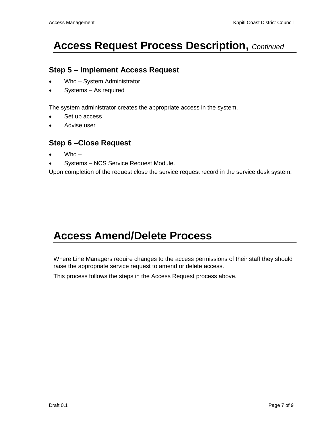# **Access Request Process Description,** *Continued*

## **Step 5 – Implement Access Request**

- Who System Administrator
- Systems As required

The system administrator creates the appropriate access in the system.

- Set up access
- Advise user

### **Step 6 –Close Request**

- Who –
- Systems NCS Service Request Module.

Upon completion of the request close the service request record in the service desk system.

# **Access Amend/Delete Process**

Where Line Managers require changes to the access permissions of their staff they should raise the appropriate service request to amend or delete access.

This process follows the steps in the Access Request process above.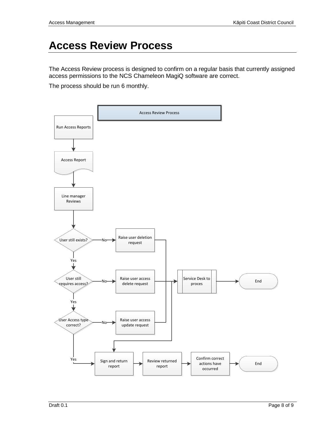## **Access Review Process**

The Access Review process is designed to confirm on a regular basis that currently assigned access permissions to the NCS Chameleon MagiQ software are correct.

The process should be run 6 monthly.